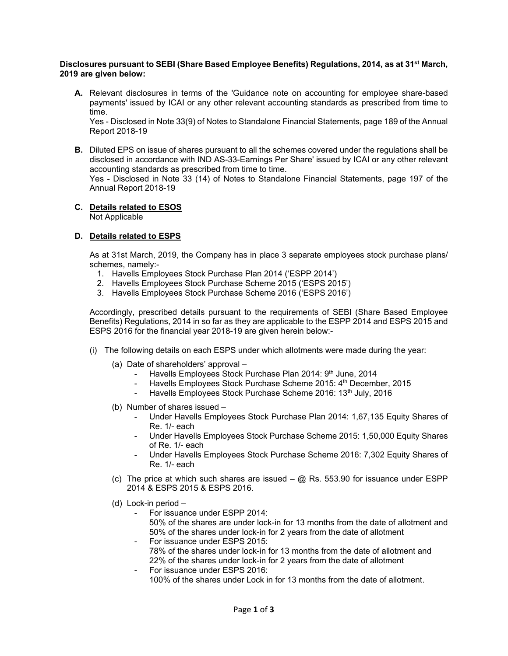## **Disclosures pursuant to SEBI (Share Based Employee Benefits) Regulations, 2014, as at 31st March, 2019 are given below:**

**A.** Relevant disclosures in terms of the 'Guidance note on accounting for employee share-based payments' issued by ICAI or any other relevant accounting standards as prescribed from time to time.

Yes - Disclosed in Note 33(9) of Notes to Standalone Financial Statements, page 189 of the Annual Report 2018-19

**B.** Diluted EPS on issue of shares pursuant to all the schemes covered under the regulations shall be disclosed in accordance with IND AS-33-Earnings Per Share' issued by ICAI or any other relevant accounting standards as prescribed from time to time. Yes - Disclosed in Note 33 (14) of Notes to Standalone Financial Statements, page 197 of the Annual Report 2018-19

# **C. Details related to ESOS**

Not Applicable

# **D. Details related to ESPS**

 As at 31st March, 2019, the Company has in place 3 separate employees stock purchase plans/ schemes, namely:-

- 1. Havells Employees Stock Purchase Plan 2014 ('ESPP 2014')
- 2. Havells Employees Stock Purchase Scheme 2015 ('ESPS 2015')
- 3. Havells Employees Stock Purchase Scheme 2016 ('ESPS 2016')

Accordingly, prescribed details pursuant to the requirements of SEBI (Share Based Employee Benefits) Regulations, 2014 in so far as they are applicable to the ESPP 2014 and ESPS 2015 and ESPS 2016 for the financial year 2018-19 are given herein below:-

- (i) The following details on each ESPS under which allotments were made during the year:
	- (a) Date of shareholders' approval
		- Havells Employees Stock Purchase Plan 2014: 9<sup>th</sup> June, 2014
		- Havells Employees Stock Purchase Scheme 2015: 4<sup>th</sup> December, 2015
		- Havells Employees Stock Purchase Scheme 2016: 13th July, 2016
	- (b) Number of shares issued
		- Under Havells Employees Stock Purchase Plan 2014: 1,67,135 Equity Shares of Re. 1/- each
		- Under Havells Employees Stock Purchase Scheme 2015: 1,50,000 Equity Shares of Re. 1/- each
		- Under Havells Employees Stock Purchase Scheme 2016: 7,302 Equity Shares of Re. 1/- each
	- (c) The price at which such shares are issued  $\omega$  Rs. 553.90 for issuance under ESPP 2014 & ESPS 2015 & ESPS 2016.
	- (d) Lock-in period
		- For issuance under ESPP 2014: 50% of the shares are under lock-in for 13 months from the date of allotment and 50% of the shares under lock-in for 2 years from the date of allotment
		- For issuance under ESPS 2015: 78% of the shares under lock-in for 13 months from the date of allotment and 22% of the shares under lock-in for 2 years from the date of allotment
		- For issuance under ESPS 2016: 100% of the shares under Lock in for 13 months from the date of allotment.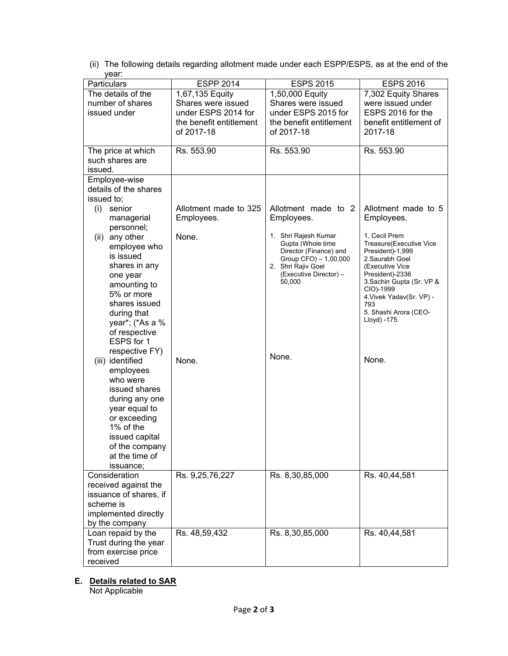|       |  | (ii) The following details regarding allotment made under each ESPP/ESPS, as at the end of the |
|-------|--|------------------------------------------------------------------------------------------------|
| vear: |  |                                                                                                |

| Particulars                | <b>ESPP 2014</b>        | <b>ESPS 2015</b>                             | <b>ESPS 2016</b>                             |
|----------------------------|-------------------------|----------------------------------------------|----------------------------------------------|
| The details of the         | 1,67,135 Equity         | 1,50,000 Equity                              | 7,302 Equity Shares                          |
| number of shares           | Shares were issued      | Shares were issued                           | were issued under                            |
| issued under               | under ESPS 2014 for     | under ESPS 2015 for                          | ESPS 2016 for the                            |
|                            | the benefit entitlement | the benefit entitlement                      | benefit entitlement of                       |
|                            | of 2017-18              | of 2017-18                                   | 2017-18                                      |
|                            |                         |                                              |                                              |
| The price at which         | Rs. 553.90              | Rs. 553.90                                   | Rs. 553.90                                   |
| such shares are            |                         |                                              |                                              |
| issued.                    |                         |                                              |                                              |
| Employee-wise              |                         |                                              |                                              |
| details of the shares      |                         |                                              |                                              |
| issued to;                 |                         |                                              |                                              |
| senior<br>(i)              | Allotment made to 325   | Allotment made to 2                          | Allotment made to 5                          |
| managerial                 | Employees.              | Employees.                                   | Employees.                                   |
| personnel;                 |                         |                                              |                                              |
| any other<br>(ii)          | None.                   | 1. Shri Rajesh Kumar<br>Gupta (Whole time    | 1. Cecil Prem<br>Treasure(Executive Vice     |
| employee who               |                         | Director (Finance) and                       | President)-1,999                             |
| is issued                  |                         | Group CFO) - 1,00,000                        | 2.Saurabh Goel                               |
| shares in any              |                         | 2. Shri Rajiv Goel<br>(Executive Director) - | (Executive Vice                              |
| one year                   |                         | 50,000                                       | President)-2336<br>3. Sachin Gupta (Sr. VP & |
| amounting to<br>5% or more |                         |                                              | CIO)-1999                                    |
| shares issued              |                         |                                              | 4. Vivek Yadav(Sr. VP) -                     |
| during that                |                         |                                              | 793<br>5. Shashi Arora (CEO-                 |
| year*; (*As a %            |                         |                                              | Lloyd) -175.                                 |
| of respective              |                         |                                              |                                              |
| ESPS for 1                 |                         |                                              |                                              |
| respective FY)             |                         |                                              |                                              |
| (iii) identified           | None.                   | None.                                        | None.                                        |
| employees                  |                         |                                              |                                              |
| who were                   |                         |                                              |                                              |
| issued shares              |                         |                                              |                                              |
| during any one             |                         |                                              |                                              |
| year equal to              |                         |                                              |                                              |
| or exceeding               |                         |                                              |                                              |
| 1% of the                  |                         |                                              |                                              |
| issued capital             |                         |                                              |                                              |
| of the company             |                         |                                              |                                              |
| at the time of             |                         |                                              |                                              |
| issuance;                  |                         |                                              |                                              |
| Consideration              | Rs. 9,25,76,227         | Rs. 8,30,85,000                              | Rs. 40,44,581                                |
| received against the       |                         |                                              |                                              |
| issuance of shares, if     |                         |                                              |                                              |
| scheme is                  |                         |                                              |                                              |
| implemented directly       |                         |                                              |                                              |
| by the company             |                         |                                              |                                              |
| Loan repaid by the         | Rs. 48,59,432           | Rs. 8,30,85,000                              | Rs. 40,44,581                                |
| Trust during the year      |                         |                                              |                                              |
| from exercise price        |                         |                                              |                                              |
| received                   |                         |                                              |                                              |

# **E. Details related to SAR**

Not Applicable